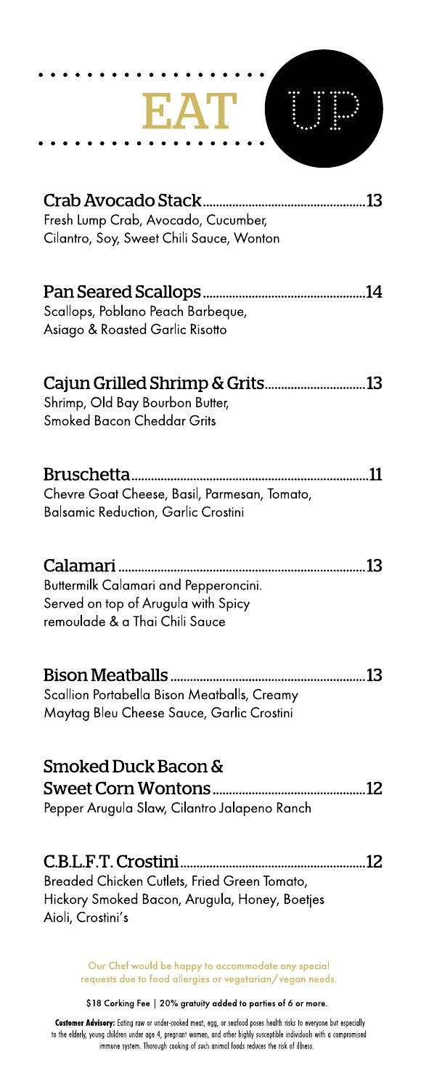| Crab Avocado Stack<br>13<br>Fresh Lump Crab, Avocado, Cucumber,<br>Cilantro, Soy, Sweet Chili Sauce, Wonton          |
|----------------------------------------------------------------------------------------------------------------------|
|                                                                                                                      |
| Scallops, Poblano Peach Barbeque,<br>Asiago & Roasted Garlic Risotto                                                 |
|                                                                                                                      |
| Shrimp, Old Bay Bourbon Butter,<br><b>Smoked Bacon Cheddar Grits</b>                                                 |
|                                                                                                                      |
| 11<br>Chevre Goat Cheese, Basil, Parmesan, Tomato,<br><b>Balsamic Reduction, Garlic Crostini</b>                     |
|                                                                                                                      |
| 13<br>Buttermilk Calamari and Pepperoncini.<br>Served on top of Arugula with Spicy<br>remoulade & a Thai Chili Sauce |
|                                                                                                                      |
| Bison Meatballs<br>13<br>Scallion Portabella Bison Meatballs, Creamy<br>Maytag Bleu Cheese Sauce, Garlic Crostini    |
|                                                                                                                      |
| Smoked Duck Bacon &                                                                                                  |
| Pepper Arugula Slaw, Cilantro Jalapeno Ranch                                                                         |
|                                                                                                                      |
| Breaded Chicken Cutlets, Fried Green Tomato,<br>Hickory Smoked Bacon, Arugula, Honey, Boetjes                        |
| Aioli, Crostini's                                                                                                    |
| Our Chef would be happy to accommodate any special                                                                   |

Our Cher would be happy to accommodate any special<br>requests due to food allergies or vegetarian/vegan needs.

\$18 Corking Fee | 20% gratuity added to parties of 6 or more.

Customer Advisory: Eating raw or under-cooked meat, egg, or seafood poses health risks to everyone but especially to the elderly, young children under age 4, pregnant women, and other highly susceptible individuals with a compromised<br>in minune system. Thorough cooking of such animal foods reduces the risk of illness.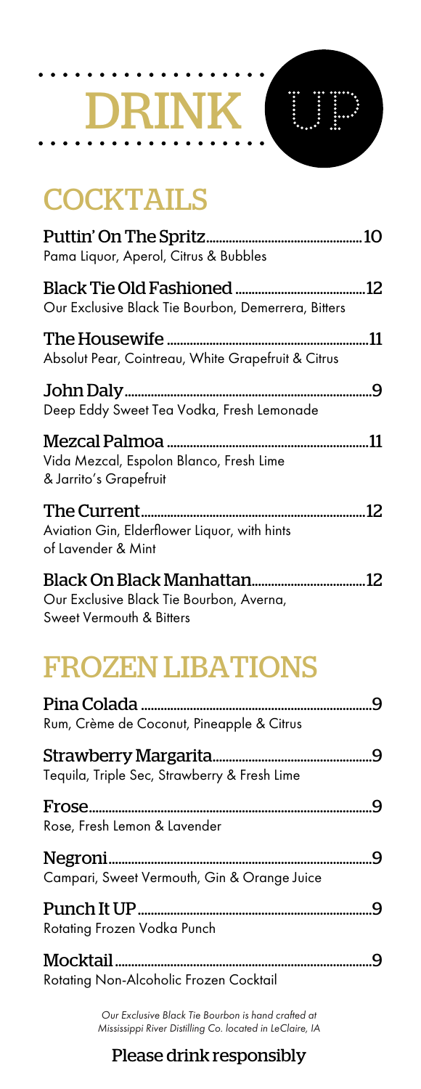## DRINK I

## **COCKTAILS**

| Pama Liquor, Aperol, Citrus & Bubbles                              |     |
|--------------------------------------------------------------------|-----|
| Our Exclusive Black Tie Bourbon, Demerrera, Bitters                |     |
| Absolut Pear, Cointreau, White Grapefruit & Citrus                 | .11 |
| Deep Eddy Sweet Tea Vodka, Fresh Lemonade                          |     |
| Vida Mezcal, Espolon Blanco, Fresh Lime<br>& Jarrito's Grapefruit  | .11 |
| Aviation Gin, Elderflower Liquor, with hints<br>of Lavender & Mint |     |
| Our Exclusive Black Tie Bourbon, Averna,                           |     |

Sweet Vermouth & Bitters

## FROZEN LIBATIONS

| Rum, Crème de Coconut, Pineapple & Citrus    |  |
|----------------------------------------------|--|
| Tequila, Triple Sec, Strawberry & Fresh Lime |  |
|                                              |  |
| Rose, Fresh Lemon & Lavender                 |  |
|                                              |  |
| Campari, Sweet Vermouth, Gin & Orange Juice  |  |
|                                              |  |
| Rotating Frozen Vodka Punch                  |  |
|                                              |  |
| Rotating Non-Alcoholic Frozen Cocktail       |  |

*Our Exclusive Black Tie Bourbon is hand crafted at Mississippi River Distilling Co. located in LeClaire, IA*

#### Please drink responsibly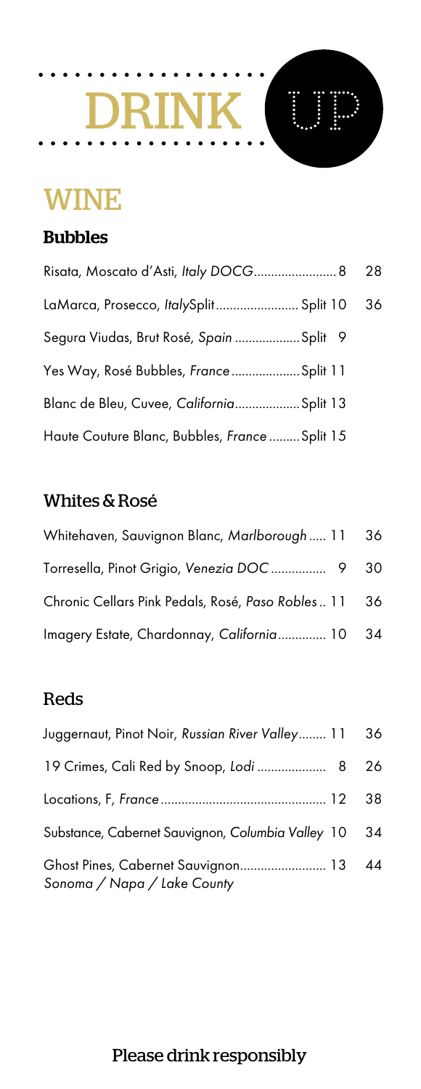# DRINK UP

## WINE

#### Bubbles

| Risata, Moscato d'Asti, Italy DOCG 8           | 28 |
|------------------------------------------------|----|
| LaMarca, Prosecco, ItalySplit Split 10         | 36 |
| Segura Viudas, Brut Rosé, Spain Split 9        |    |
| Yes Way, Rosé Bubbles, France  Split 11        |    |
| Blanc de Bleu, Cuvee, California Split 13      |    |
| Haute Couture Blanc, Bubbles, France  Split 15 |    |

#### Whites & Rosé

| Whitehaven, Sauvignon Blanc, Marlborough  11 36      |  |
|------------------------------------------------------|--|
| Torresella, Pinot Grigio, Venezia DOC 9 30           |  |
| Chronic Cellars Pink Pedals, Rosé, Paso Robles 11 36 |  |
| Imagery Estate, Chardonnay, California 10 34         |  |

#### Reds

| Juggernaut, Pinot Noir, Russian River Valley 11                      | 36 |
|----------------------------------------------------------------------|----|
| 19 Crimes, Cali Red by Snoop, Lodi  8 26                             |    |
|                                                                      | 38 |
| Substance, Cabernet Sauvignon, Columbia Valley 10                    | 34 |
| Ghost Pines, Cabernet Sauvignon 13 44<br>Sonoma / Napa / Lake County |    |